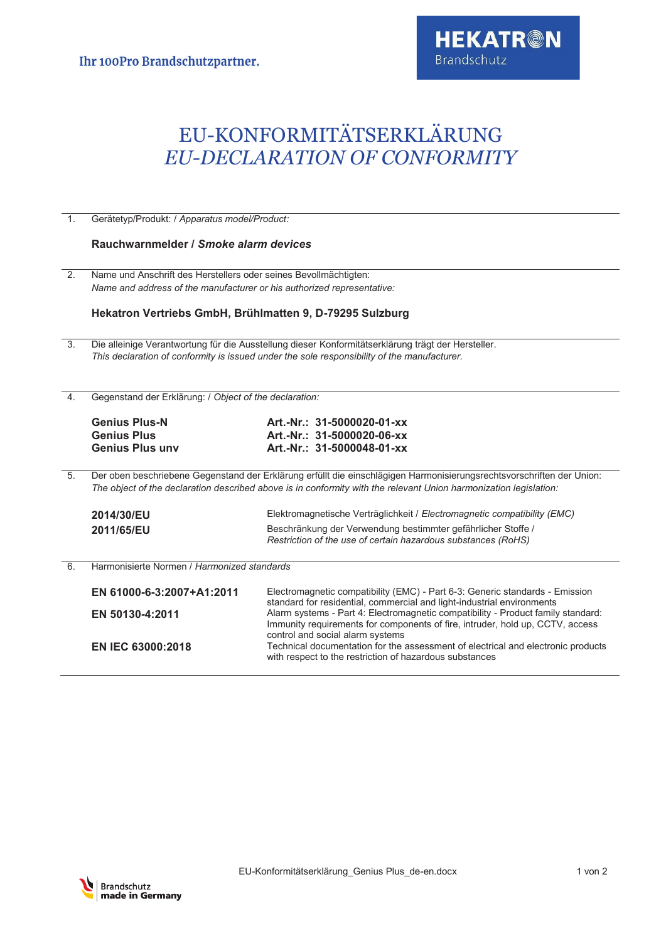## EU-KONFORMITÄTSERKLÄRUNG *EU-DECLARATION OF CONFORMITY*

| 1 <sub>1</sub> | Gerätetyp/Produkt: / Apparatus model/Product:                                                                                                                                                                                              |                                                                                                                                                            |  |
|----------------|--------------------------------------------------------------------------------------------------------------------------------------------------------------------------------------------------------------------------------------------|------------------------------------------------------------------------------------------------------------------------------------------------------------|--|
|                | Rauchwarnmelder / Smoke alarm devices                                                                                                                                                                                                      |                                                                                                                                                            |  |
| 2.             | Name und Anschrift des Herstellers oder seines Bevollmächtigten:<br>Name and address of the manufacturer or his authorized representative:<br>Hekatron Vertriebs GmbH, Brühlmatten 9, D-79295 Sulzburg                                     |                                                                                                                                                            |  |
|                |                                                                                                                                                                                                                                            |                                                                                                                                                            |  |
|                |                                                                                                                                                                                                                                            |                                                                                                                                                            |  |
| 3.             |                                                                                                                                                                                                                                            | Die alleinige Verantwortung für die Ausstellung dieser Konformitätserklärung trägt der Hersteller.                                                         |  |
|                | This declaration of conformity is issued under the sole responsibility of the manufacturer.                                                                                                                                                |                                                                                                                                                            |  |
|                |                                                                                                                                                                                                                                            |                                                                                                                                                            |  |
|                |                                                                                                                                                                                                                                            |                                                                                                                                                            |  |
| 4.             | Gegenstand der Erklärung: / Object of the declaration:                                                                                                                                                                                     |                                                                                                                                                            |  |
|                | <b>Genius Plus-N</b>                                                                                                                                                                                                                       | Art.-Nr.: 31-5000020-01-xx                                                                                                                                 |  |
|                | <b>Genius Plus</b>                                                                                                                                                                                                                         | Art.-Nr.: 31-5000020-06-xx                                                                                                                                 |  |
|                | <b>Genius Plus unv</b>                                                                                                                                                                                                                     | Art.-Nr.: 31-5000048-01-xx                                                                                                                                 |  |
|                |                                                                                                                                                                                                                                            |                                                                                                                                                            |  |
| 5.             | Der oben beschriebene Gegenstand der Erklärung erfüllt die einschlägigen Harmonisierungsrechtsvorschriften der Union:<br>The object of the declaration described above is in conformity with the relevant Union harmonization legislation: |                                                                                                                                                            |  |
|                | 2014/30/EU                                                                                                                                                                                                                                 | Elektromagnetische Verträglichkeit / Electromagnetic compatibility (EMC)                                                                                   |  |
|                | 2011/65/EU                                                                                                                                                                                                                                 | Beschränkung der Verwendung bestimmter gefährlicher Stoffe /                                                                                               |  |
|                |                                                                                                                                                                                                                                            | Restriction of the use of certain hazardous substances (RoHS)                                                                                              |  |
|                |                                                                                                                                                                                                                                            |                                                                                                                                                            |  |
| 6.             | Harmonisierte Normen / Harmonized standards                                                                                                                                                                                                |                                                                                                                                                            |  |
|                | EN 61000-6-3:2007+A1:2011                                                                                                                                                                                                                  | Electromagnetic compatibility (EMC) - Part 6-3: Generic standards - Emission                                                                               |  |
|                | EN 50130-4:2011                                                                                                                                                                                                                            | standard for residential, commercial and light-industrial environments<br>Alarm systems - Part 4: Electromagnetic compatibility - Product family standard: |  |
|                |                                                                                                                                                                                                                                            | Immunity requirements for components of fire, intruder, hold up, CCTV, access                                                                              |  |
|                |                                                                                                                                                                                                                                            | control and social alarm systems                                                                                                                           |  |
|                | <b>EN IEC 63000:2018</b>                                                                                                                                                                                                                   | Technical documentation for the assessment of electrical and electronic products<br>with respect to the restriction of hazardous substances                |  |
|                |                                                                                                                                                                                                                                            |                                                                                                                                                            |  |